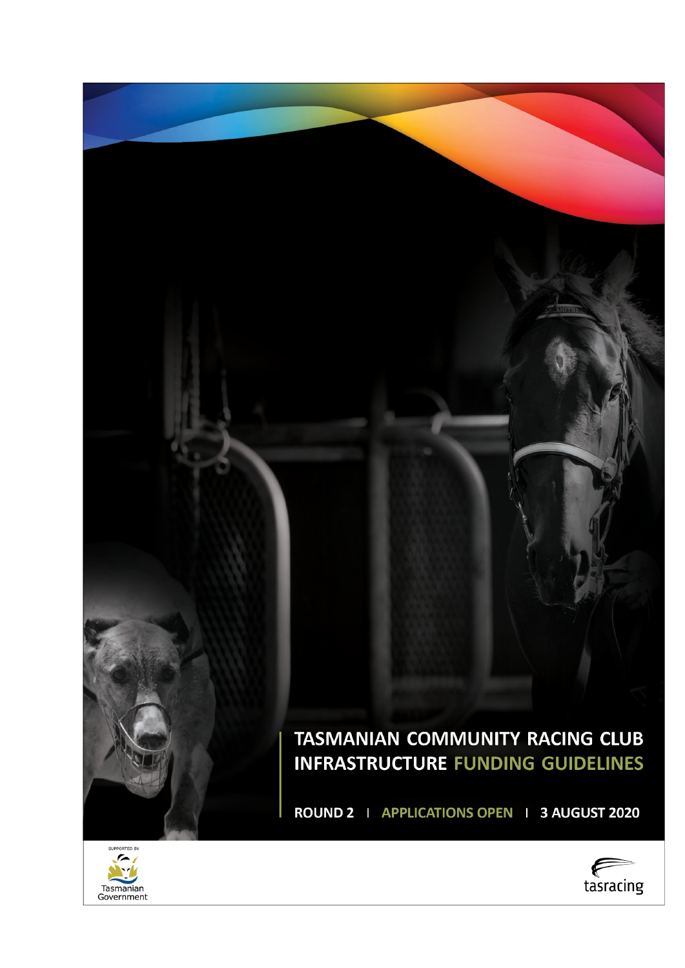# TASMANIAN COMMUNITY RACING CLUB **INFRASTRUCTURE FUNDING GUIDELINES**

ROUND 2 | APPLICATIONS OPEN | 3 AUGUST 2020



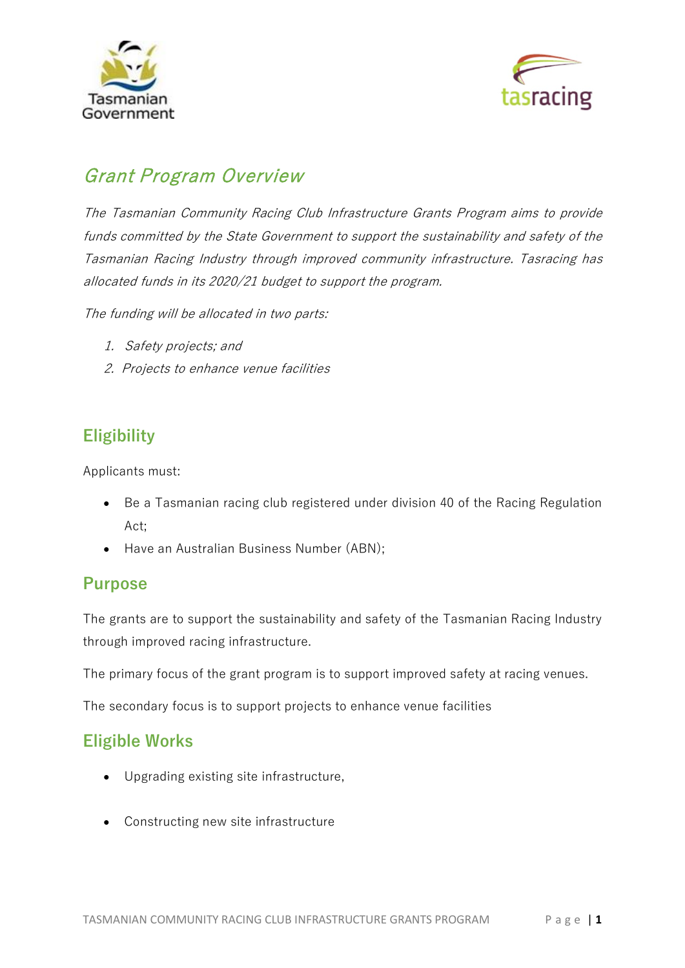



# Grant Program Overview

The Tasmanian Community Racing Club Infrastructure Grants Program aims to provide funds committed by the State Government to support the sustainability and safety of the Tasmanian Racing Industry through improved community infrastructure. Tasracing has allocated funds in its 2020/21 budget to support the program.

The funding will be allocated in two parts:

- 1. Safety projects; and
- 2. Projects to enhance venue facilities

## **Eligibility**

Applicants must:

- Be a Tasmanian racing club registered under division 40 of the Racing Regulation Act;
- Have an Australian Business Number (ABN);

### **Purpose**

The grants are to support the sustainability and safety of the Tasmanian Racing Industry through improved racing infrastructure.

The primary focus of the grant program is to support improved safety at racing venues.

The secondary focus is to support projects to enhance venue facilities

### **Eligible Works**

- Upgrading existing site infrastructure,
- Constructing new site infrastructure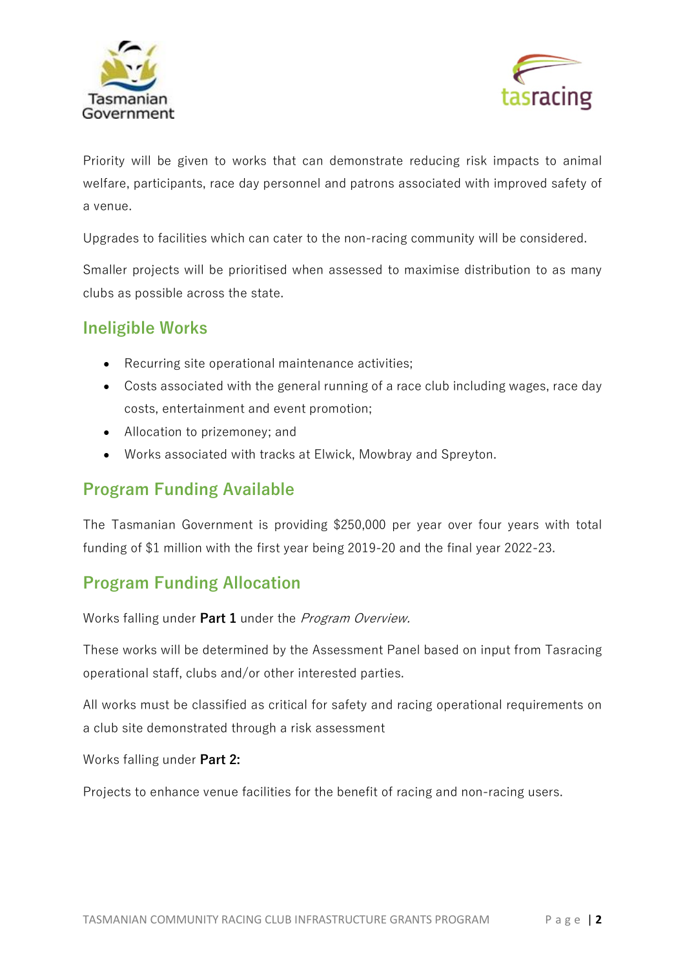



Priority will be given to works that can demonstrate reducing risk impacts to animal welfare, participants, race day personnel and patrons associated with improved safety of a venue.

Upgrades to facilities which can cater to the non-racing community will be considered.

Smaller projects will be prioritised when assessed to maximise distribution to as many clubs as possible across the state.

### **Ineligible Works**

- Recurring site operational maintenance activities;
- Costs associated with the general running of a race club including wages, race day costs, entertainment and event promotion;
- Allocation to prizemoney; and
- Works associated with tracks at Elwick, Mowbray and Spreyton.

# **Program Funding Available**

The Tasmanian Government is providing \$250,000 per year over four years with total funding of \$1 million with the first year being 2019-20 and the final year 2022-23.

### **Program Funding Allocation**

Works falling under **Part 1** under the Program Overview.

These works will be determined by the Assessment Panel based on input from Tasracing operational staff, clubs and/or other interested parties.

All works must be classified as critical for safety and racing operational requirements on a club site demonstrated through a risk assessment

Works falling under **Part 2:**

Projects to enhance venue facilities for the benefit of racing and non-racing users.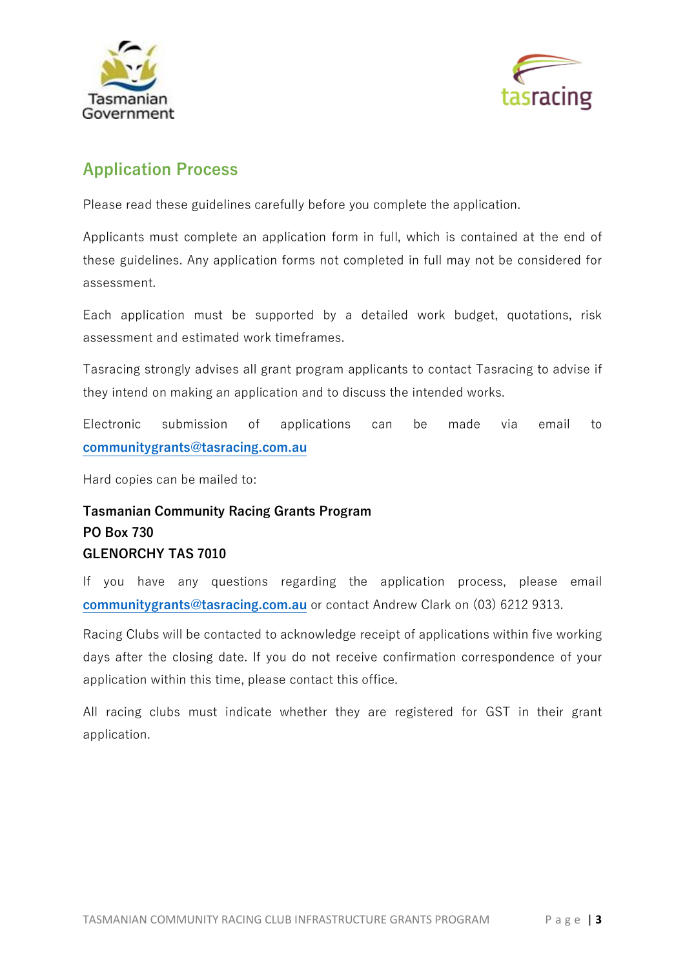



### **Application Process**

Please read these guidelines carefully before you complete the application.

Applicants must complete an application form in full, which is contained at the end of these guidelines. Any application forms not completed in full may not be considered for assessment.

Each application must be supported by a detailed work budget, quotations, risk assessment and estimated work timeframes.

Tasracing strongly advises all grant program applicants to contact Tasracing to advise if they intend on making an application and to discuss the intended works.

Electronic submission of applications can be made via email to **[communitygrants@tasracing.com.au](mailto:communitygrants@tasracing.com.au)**

Hard copies can be mailed to:

### **Tasmanian Community Racing Grants Program PO Box 730 GLENORCHY TAS 7010**

If you have any questions regarding the application process, please email **[communitygrants@tasracing.com.au](mailto:communitygrants@tasracing.com.au)** or contact Andrew Clark on (03) 6212 9313.

Racing Clubs will be contacted to acknowledge receipt of applications within five working days after the closing date. If you do not receive confirmation correspondence of your application within this time, please contact this office.

All racing clubs must indicate whether they are registered for GST in their grant application.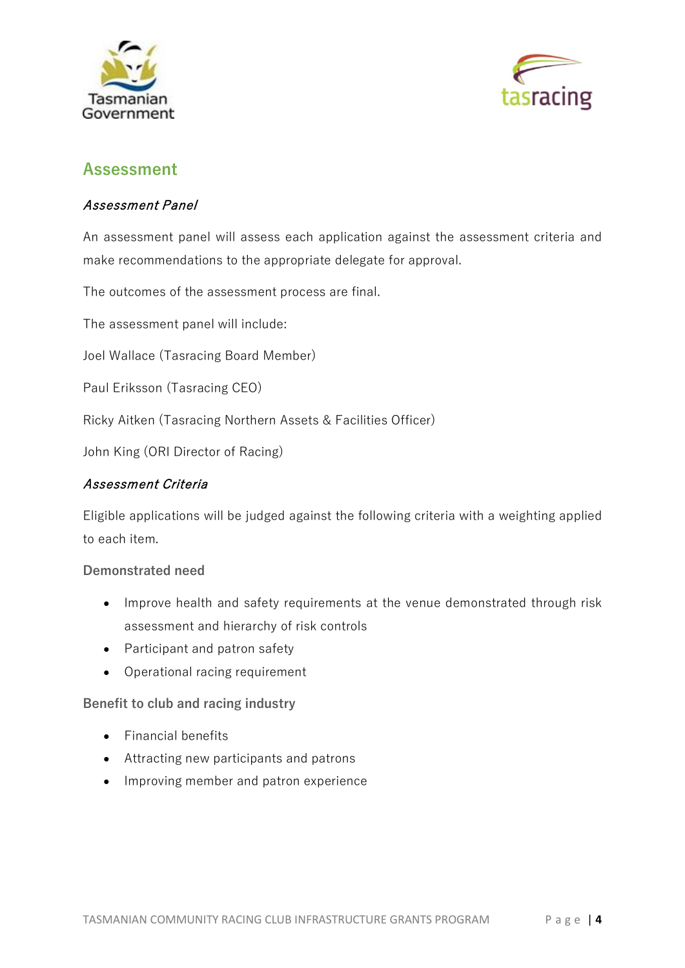



### **Assessment**

#### Assessment Panel

An assessment panel will assess each application against the assessment criteria and make recommendations to the appropriate delegate for approval.

The outcomes of the assessment process are final.

The assessment panel will include:

Joel Wallace (Tasracing Board Member)

Paul Eriksson (Tasracing CEO)

Ricky Aitken (Tasracing Northern Assets & Facilities Officer)

John King (ORI Director of Racing)

#### Assessment Criteria

Eligible applications will be judged against the following criteria with a weighting applied to each item.

#### **Demonstrated need**

- Improve health and safety requirements at the venue demonstrated through risk assessment and hierarchy of risk controls
- Participant and patron safety
- Operational racing requirement

**Benefit to club and racing industry**

- Financial benefits
- Attracting new participants and patrons
- Improving member and patron experience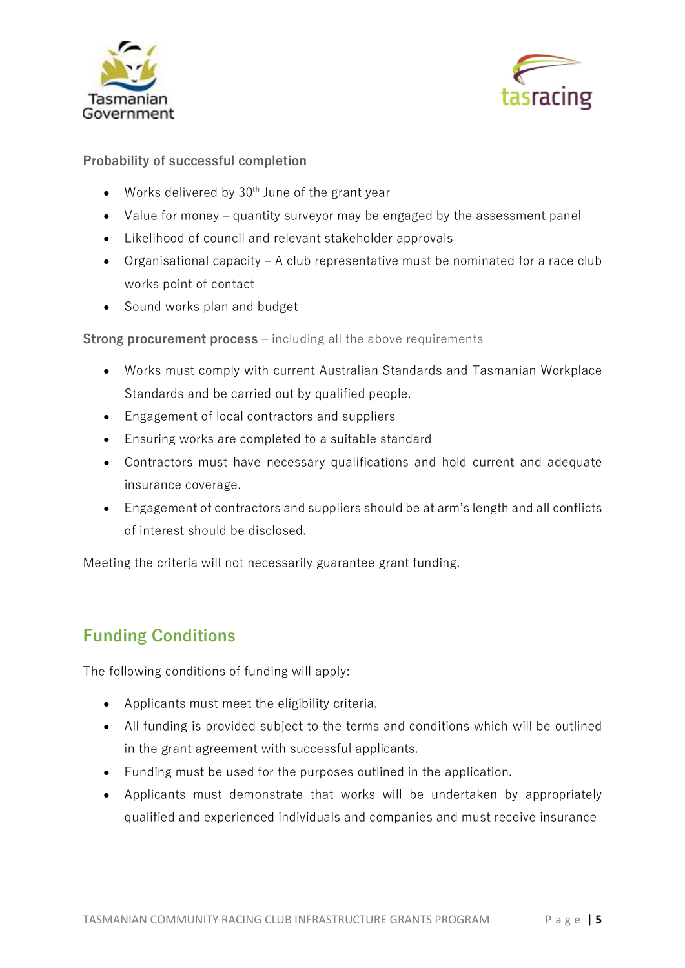



**Probability of successful completion**

- Works delivered by  $30<sup>th</sup>$  June of the grant year
- Value for money quantity surveyor may be engaged by the assessment panel
- Likelihood of council and relevant stakeholder approvals
- Organisational capacity A club representative must be nominated for a race club works point of contact
- Sound works plan and budget

**Strong procurement process** – including all the above requirements

- Works must comply with current Australian Standards and Tasmanian Workplace Standards and be carried out by qualified people.
- Engagement of local contractors and suppliers
- Ensuring works are completed to a suitable standard
- Contractors must have necessary qualifications and hold current and adequate insurance coverage.
- Engagement of contractors and suppliers should be at arm's length and all conflicts of interest should be disclosed.

Meeting the criteria will not necessarily guarantee grant funding.

# **Funding Conditions**

The following conditions of funding will apply:

- Applicants must meet the eligibility criteria.
- All funding is provided subject to the terms and conditions which will be outlined in the grant agreement with successful applicants.
- Funding must be used for the purposes outlined in the application.
- Applicants must demonstrate that works will be undertaken by appropriately qualified and experienced individuals and companies and must receive insurance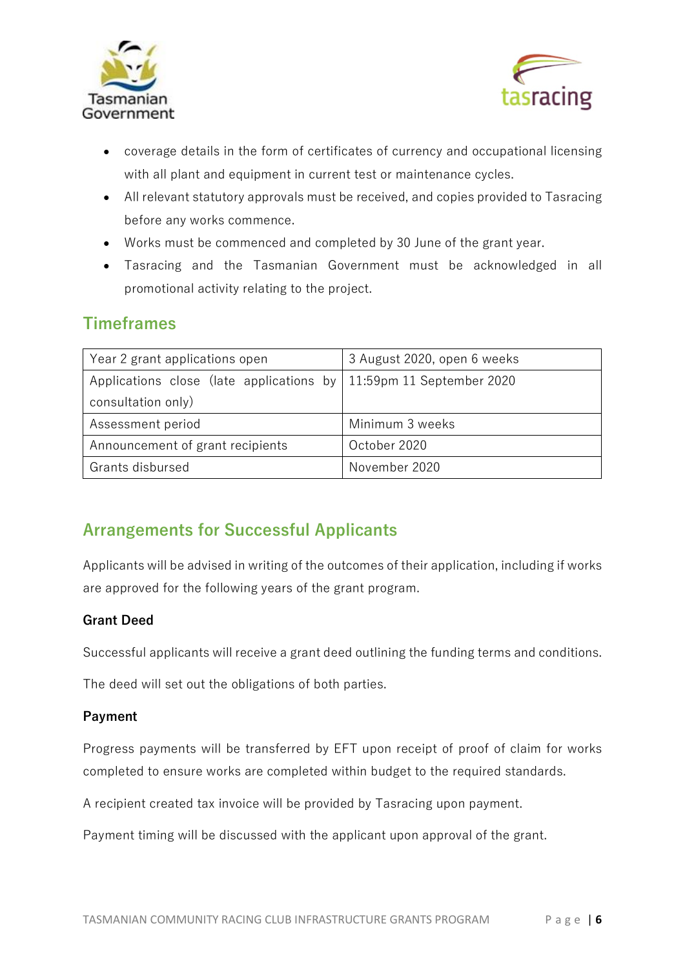



- coverage details in the form of certificates of currency and occupational licensing with all plant and equipment in current test or maintenance cycles.
- All relevant statutory approvals must be received, and copies provided to Tasracing before any works commence.
- Works must be commenced and completed by 30 June of the grant year.
- Tasracing and the Tasmanian Government must be acknowledged in all promotional activity relating to the project.

### **Timeframes**

| Year 2 grant applications open                                       | 3 August 2020, open 6 weeks |  |
|----------------------------------------------------------------------|-----------------------------|--|
| Applications close (late applications by   11:59pm 11 September 2020 |                             |  |
| consultation only)                                                   |                             |  |
| Assessment period                                                    | Minimum 3 weeks             |  |
| Announcement of grant recipients                                     | October 2020                |  |
| Grants disbursed                                                     | November 2020               |  |

# **Arrangements for Successful Applicants**

Applicants will be advised in writing of the outcomes of their application, including if works are approved for the following years of the grant program.

#### **Grant Deed**

Successful applicants will receive a grant deed outlining the funding terms and conditions.

The deed will set out the obligations of both parties.

#### **Payment**

Progress payments will be transferred by EFT upon receipt of proof of claim for works completed to ensure works are completed within budget to the required standards.

A recipient created tax invoice will be provided by Tasracing upon payment.

Payment timing will be discussed with the applicant upon approval of the grant.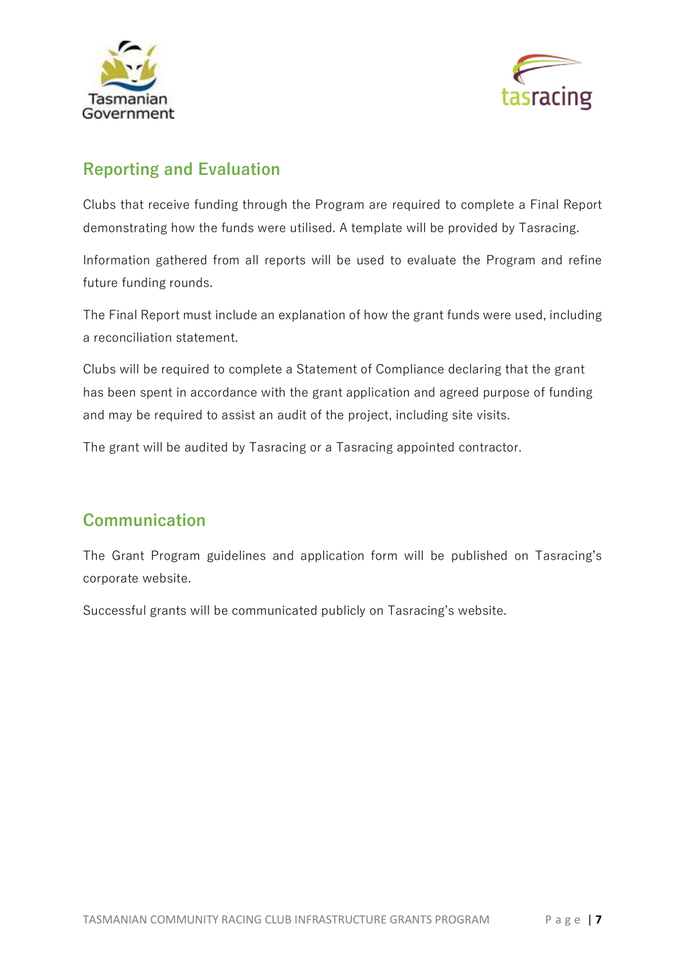



## **Reporting and Evaluation**

Clubs that receive funding through the Program are required to complete a Final Report demonstrating how the funds were utilised. A template will be provided by Tasracing.

Information gathered from all reports will be used to evaluate the Program and refine future funding rounds.

The Final Report must include an explanation of how the grant funds were used, including a reconciliation statement.

Clubs will be required to complete a Statement of Compliance declaring that the grant has been spent in accordance with the grant application and agreed purpose of funding and may be required to assist an audit of the project, including site visits.

The grant will be audited by Tasracing or a Tasracing appointed contractor.

### **Communication**

The Grant Program guidelines and application form will be published on Tasracing's corporate website.

Successful grants will be communicated publicly on Tasracing's website.